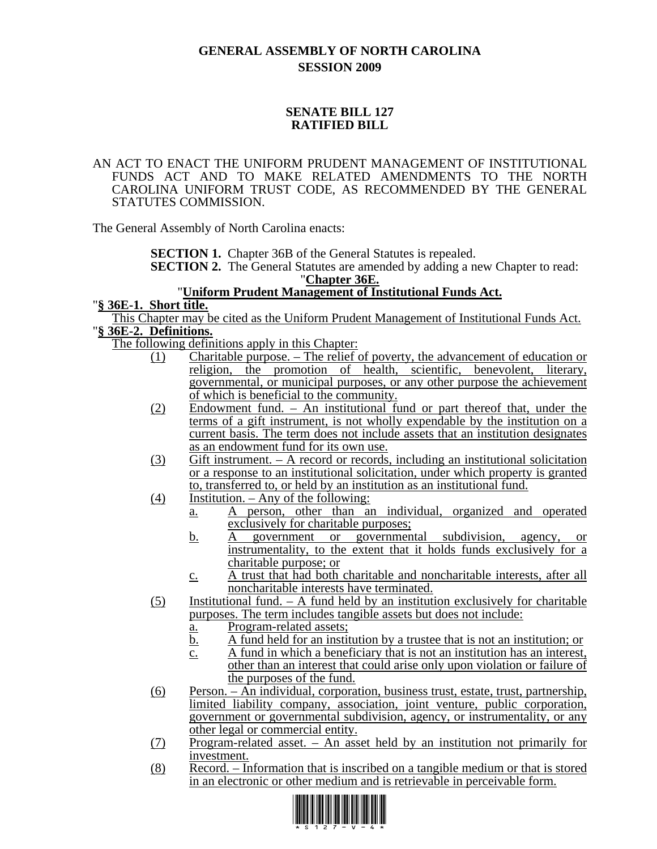## **GENERAL ASSEMBLY OF NORTH CAROLINA SESSION 2009**

#### **SENATE BILL 127 RATIFIED BILL**

#### AN ACT TO ENACT THE UNIFORM PRUDENT MANAGEMENT OF INSTITUTIONAL FUNDS ACT AND TO MAKE RELATED AMENDMENTS TO THE NORTH CAROLINA UNIFORM TRUST CODE, AS RECOMMENDED BY THE GENERAL STATUTES COMMISSION.

The General Assembly of North Carolina enacts:

**SECTION 1.** Chapter 36B of the General Statutes is repealed.

**SECTION 2.** The General Statutes are amended by adding a new Chapter to read:<br>"**Chapter 36E.**<br>"§ 36E-1. Short title.<sup>"</sup>

This Chapter may be cited as the Uniform Prudent Management of Institutional Funds Act. "**§ 36E-2. Definitions.**

The following definitions apply in this Chapter:

- (1) Charitable purpose. The relief of poverty, the advancement of education or religion, the promotion of health, scientific, benevolent, literary, governmental, or municipal purposes, or any other purpose the achievement of which is beneficial to the community.
- (2) Endowment fund. An institutional fund or part thereof that, under the terms of a gift instrument, is not wholly expendable by the institution on a current basis. The term does not include assets that an institution designates as an endowment fund for its own use.
- (3) Gift instrument. A record or records, including an institutional solicitation or a response to an institutional solicitation, under which property is granted to, transferred to, or held by an institution as an institutional fund.
- (4) Institution. Any of the following:
	- a. A person, other than an individual, organized and operated exclusively for charitable purposes;
	- b. A government or governmental subdivision, agency, or instrumentality, to the extent that it holds funds exclusively for a charitable purpose; or
	- c. A trust that had both charitable and noncharitable interests, after all noncharitable interests have terminated.
- (5) Institutional fund. A fund held by an institution exclusively for charitable purposes. The term includes tangible assets but does not include:
	- a. Program-related assets;
	- $\overline{b}$ . A fund held for an institution by a trustee that is not an institution; or
	- c. A fund in which a beneficiary that is not an institution has an interest, other than an interest that could arise only upon violation or failure of the purposes of the fund.
- (6) Person. An individual, corporation, business trust, estate, trust, partnership, limited liability company, association, joint venture, public corporation, government or governmental subdivision, agency, or instrumentality, or any other legal or commercial entity.
- (7) Program-related asset. An asset held by an institution not primarily for investment.
- (8) Record. Information that is inscribed on a tangible medium or that is stored in an electronic or other medium and is retrievable in perceivable form.

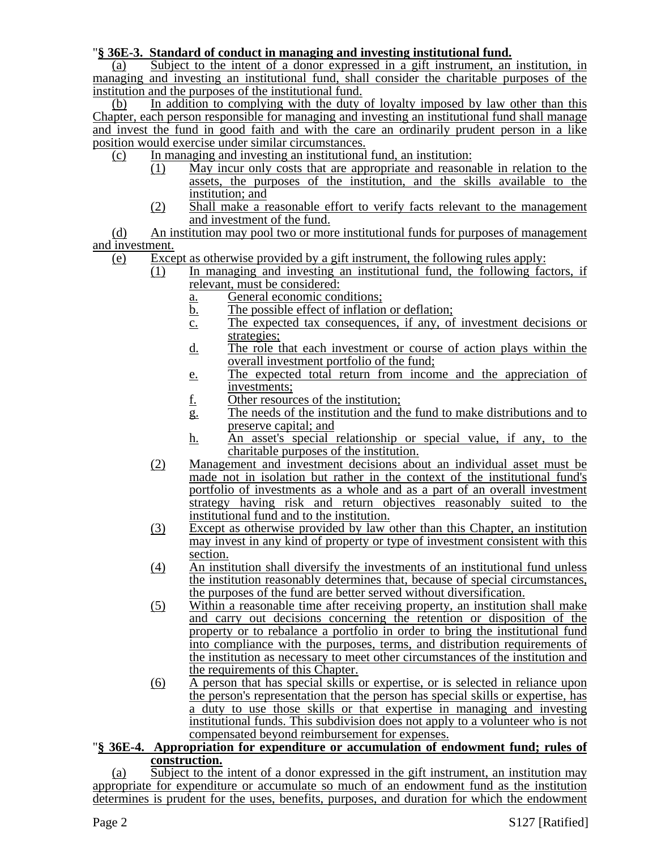### "**§ 36E-3. Standard of conduct in managing and investing institutional fund.**

(a) Subject to the intent of a donor expressed in a gift instrument, an institution, in managing and investing an institutional fund, shall consider the charitable purposes of the institution and the purposes of the institutional fund.

(b) In addition to complying with the duty of loyalty imposed by law other than this Chapter, each person responsible for managing and investing an institutional fund shall manage and invest the fund in good faith and with the care an ordinarily prudent person in a like position would exercise under similar circumstances.

- (c) In managing and investing an institutional fund, an institution:
	- (1) May incur only costs that are appropriate and reasonable in relation to the assets, the purposes of the institution, and the skills available to the institution; and
	- (2) Shall make a reasonable effort to verify facts relevant to the management and investment of the fund.

(d) An institution may pool two or more institutional funds for purposes of management and investment.

- (e) Except as otherwise provided by a gift instrument, the following rules apply:
	- (1) In managing and investing an institutional fund, the following factors, if relevant, must be considered:
		- a. General economic conditions;
		- b. The possible effect of inflation or deflation;
		- c. The expected tax consequences, if any, of investment decisions or strategies;
		- d. The role that each investment or course of action plays within the overall investment portfolio of the fund;
		- e. The expected total return from income and the appreciation of investments;
		- f. Other resources of the institution;
		- g. The needs of the institution and the fund to make distributions and to preserve capital; and
		- h. An asset's special relationship or special value, if any, to the charitable purposes of the institution.
		- (2) Management and investment decisions about an individual asset must be made not in isolation but rather in the context of the institutional fund's portfolio of investments as a whole and as a part of an overall investment strategy having risk and return objectives reasonably suited to the institutional fund and to the institution.
		- (3) Except as otherwise provided by law other than this Chapter, an institution may invest in any kind of property or type of investment consistent with this section.
		- (4) An institution shall diversify the investments of an institutional fund unless the institution reasonably determines that, because of special circumstances, the purposes of the fund are better served without diversification.
		- (5) Within a reasonable time after receiving property, an institution shall make and carry out decisions concerning the retention or disposition of the property or to rebalance a portfolio in order to bring the institutional fund into compliance with the purposes, terms, and distribution requirements of the institution as necessary to meet other circumstances of the institution and the requirements of this Chapter.
		- (6) A person that has special skills or expertise, or is selected in reliance upon the person's representation that the person has special skills or expertise, has a duty to use those skills or that expertise in managing and investing institutional funds. This subdivision does not apply to a volunteer who is not

# compensated beyond reimbursement for expenses. "**§ 36E-4. Appropriation for expenditure or accumulation of endowment fund; rules of construction.**

(a) Subject to the intent of a donor expressed in the gift instrument, an institution may appropriate for expenditure or accumulate so much of an endowment fund as the institution determines is prudent for the uses, benefits, purposes, and duration for which the endowment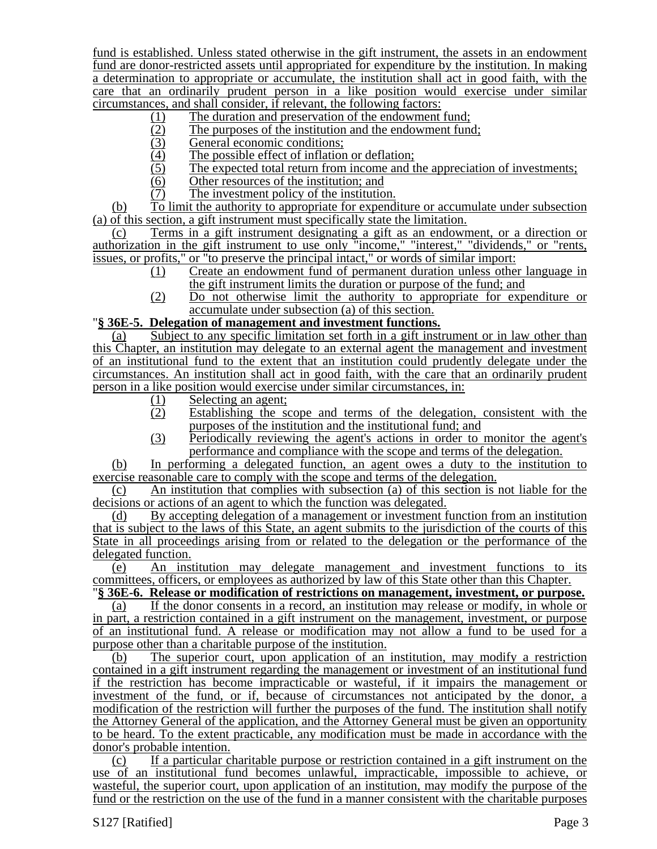fund is established. Unless stated otherwise in the gift instrument, the assets in an endowment fund are donor-restricted assets until appropriated for expenditure by the institution. In making a determination to appropriate or accumulate, the institution shall act in good faith, with the care that an ordinarily prudent person in a like position would exercise under similar circumstances, and shall consider, if relevant, the following factors:

- 
- (1) The duration and preservation of the endowment fund;<br>  $\frac{12}{3}$  The purposes of the institution and the endowment fund<br>
General economic conditions; The purposes of the institution and the endowment fund;
- (3) General economic conditions;<br>(4) The possible effect of inflation
- $\frac{1}{10}$  The possible effect of inflation or deflation;<br>(5) The expected total return from income and t
- The expected total return from income and the appreciation of investments;
- $\frac{(6)}{(7)}$  Other resources of the institution; and  $\frac{(7)}{7}$  The investment policy of the institution
- The investment policy of the institution.

(b) To limit the authority to appropriate for expenditure or accumulate under subsection (a) of this section, a gift instrument must specifically state the limitation.

(c) Terms in a gift instrument designating a gift as an endowment, or a direction or authorization in the gift instrument to use only "income," "interest," "dividends," or "rents, issues, or profits," or "to preserve the principal intact," or words of similar import:

- (1) Create an endowment fund of permanent duration unless other language in the gift instrument limits the duration or purpose of the fund; and
- (2) Do not otherwise limit the authority to appropriate for expenditure or accumulate under subsection (a) of this section.

#### "**§ 36E-5. Delegation of management and investment functions.**

Subject to any specific limitation set forth in a gift instrument or in law other than this Chapter, an institution may delegate to an external agent the management and investment of an institutional fund to the extent that an institution could prudently delegate under the circumstances. An institution shall act in good faith, with the care that an ordinarily prudent person in a like position would exercise under similar circumstances, in:

- $\frac{(1)}{(2)}$  Selecting an agent;<br>Establishing the se
- Establishing the scope and terms of the delegation, consistent with the purposes of the institution and the institutional fund; and
- (3) Periodically reviewing the agent's actions in order to monitor the agent's performance and compliance with the scope and terms of the delegation.

(b) In performing a delegated function, an agent owes a duty to the institution to exercise reasonable care to comply with the scope and terms of the delegation.

An institution that complies with subsection (a) of this section is not liable for the decisions or actions of an agent to which the function was delegated.

(d) By accepting delegation of a management or investment function from an institution that is subject to the laws of this State, an agent submits to the jurisdiction of the courts of this State in all proceedings arising from or related to the delegation or the performance of the delegated function.

(e) An institution may delegate management and investment functions to its committees, officers, or employees as authorized by law of this State other than this Chapter.

"**§ 36E-6. Release or modification of restrictions on management, investment, or purpose.**

(a) If the donor consents in a record, an institution may release or modify, in whole or in part, a restriction contained in a gift instrument on the management, investment, or purpose of an institutional fund. A release or modification may not allow a fund to be used for a purpose other than a charitable purpose of the institution.

(b) The superior court, upon application of an institution, may modify a restriction contained in a gift instrument regarding the management or investment of an institutional fund if the restriction has become impracticable or wasteful, if it impairs the management or investment of the fund, or if, because of circumstances not anticipated by the donor, a modification of the restriction will further the purposes of the fund. The institution shall notify the Attorney General of the application, and the Attorney General must be given an opportunity to be heard. To the extent practicable, any modification must be made in accordance with the donor's probable intention.

(c) If a particular charitable purpose or restriction contained in a gift instrument on the use of an institutional fund becomes unlawful, impracticable, impossible to achieve, or wasteful, the superior court, upon application of an institution, may modify the purpose of the fund or the restriction on the use of the fund in a manner consistent with the charitable purposes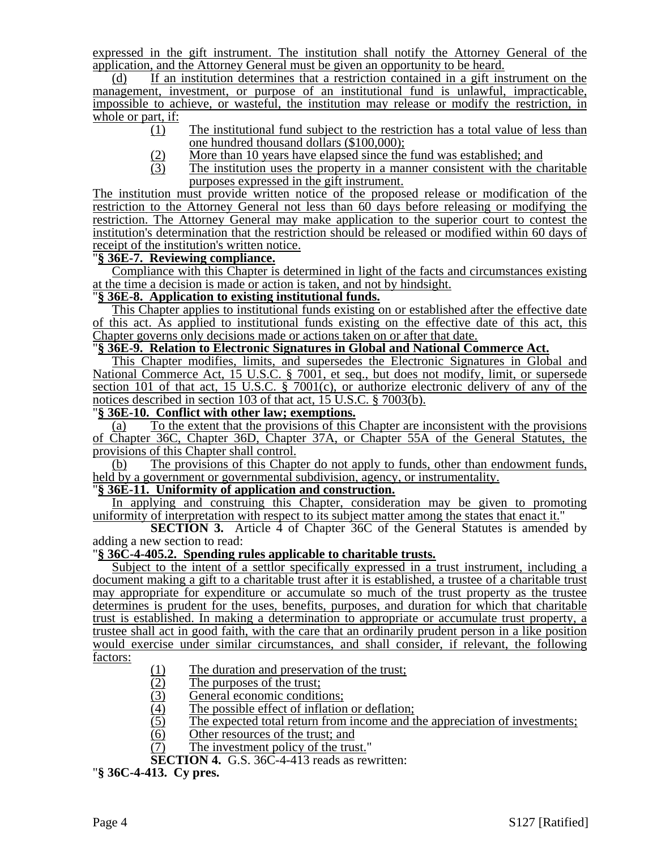expressed in the gift instrument. The institution shall notify the Attorney General of the application, and the Attorney General must be given an opportunity to be heard.

(d) If an institution determines that a restriction contained in a gift instrument on the management, investment, or purpose of an institutional fund is unlawful, impracticable, impossible to achieve, or wasteful, the institution may release or modify the restriction, in whole or part, if:

- (1) The institutional fund subject to the restriction has a total value of less than one hundred thousand dollars (\$100,000);
- 
- $\frac{12}{13}$  More than 10 years have elapsed since the fund was established; and The institution uses the property in a manner consistent with the ch The institution uses the property in a manner consistent with the charitable purposes expressed in the gift instrument.

The institution must provide written notice of the proposed release or modification of the restriction to the Attorney General not less than 60 days before releasing or modifying the restriction. The Attorney General may make application to the superior court to contest the institution's determination that the restriction should be released or modified within 60 days of receipt of the institution's written notice.

#### "**§ 36E-7. Reviewing compliance.**

Compliance with this Chapter is determined in light of the facts and circumstances existing at the time a decision is made or action is taken, and not by hindsight.

#### "**§ 36E-8. Application to existing institutional funds.**

This Chapter applies to institutional funds existing on or established after the effective date of this act. As applied to institutional funds existing on the effective date of this act, this Chapter governs only decisions made or actions taken on or after that date.

# "**§ 36E-9. Relation to Electronic Signatures in Global and National Commerce Act.**

This Chapter modifies, limits, and supersedes the Electronic Signatures in Global and National Commerce Act, 15 U.S.C. § 7001, et seq., but does not modify, limit, or supersede section 101 of that act, 15 U.S.C. § 7001(c), or authorize electronic delivery of any of the notices described in section 103 of that act, 15 U.S.C. § 7003(b).

### "**§ 36E-10. Conflict with other law; exemptions.**

(a) To the extent that the provisions of this Chapter are inconsistent with the provisions of Chapter 36C, Chapter 36D, Chapter 37A, or Chapter 55A of the General Statutes, the provisions of this Chapter shall control.

(b) The provisions of this Chapter do not apply to funds, other than endowment funds, held by a government or governmental subdivision, agency, or instrumentality.

### "**§ 36E-11. Uniformity of application and construction.**

In applying and construing this Chapter, consideration may be given to promoting uniformity of interpretation with respect to its subject matter among the states that enact it."

**SECTION 3.** Article 4 of Chapter 36C of the General Statutes is amended by adding a new section to read:

#### "**§ 36C-4-405.2. Spending rules applicable to charitable trusts.**

Subject to the intent of a settlor specifically expressed in a trust instrument, including a document making a gift to a charitable trust after it is established, a trustee of a charitable trust may appropriate for expenditure or accumulate so much of the trust property as the trustee determines is prudent for the uses, benefits, purposes, and duration for which that charitable trust is established. In making a determination to appropriate or accumulate trust property, a trustee shall act in good faith, with the care that an ordinarily prudent person in a like position would exercise under similar circumstances, and shall consider, if relevant, the following factors:

- $\frac{(1)}{(2)}$  The duration and preservation of the trust;
- 
- $\frac{(2)}{(3)}$  The purposes of the trust;<br> $\frac{(3)}{(4)}$  The possible effect of infl General economic conditions;
- 
- (4) The possible effect of inflation or deflation;<br>(5) The expected total return from income and t  $(5)$  The expected total return from income and the appreciation of investments;<br>(6) Other resources of the trust; and
	- Other resources of the trust; and
	- (7) The investment policy of the trust."
- **SECTION 4.** G.S. 36C-4-413 reads as rewritten:

"**§ 36C-4-413. Cy pres.**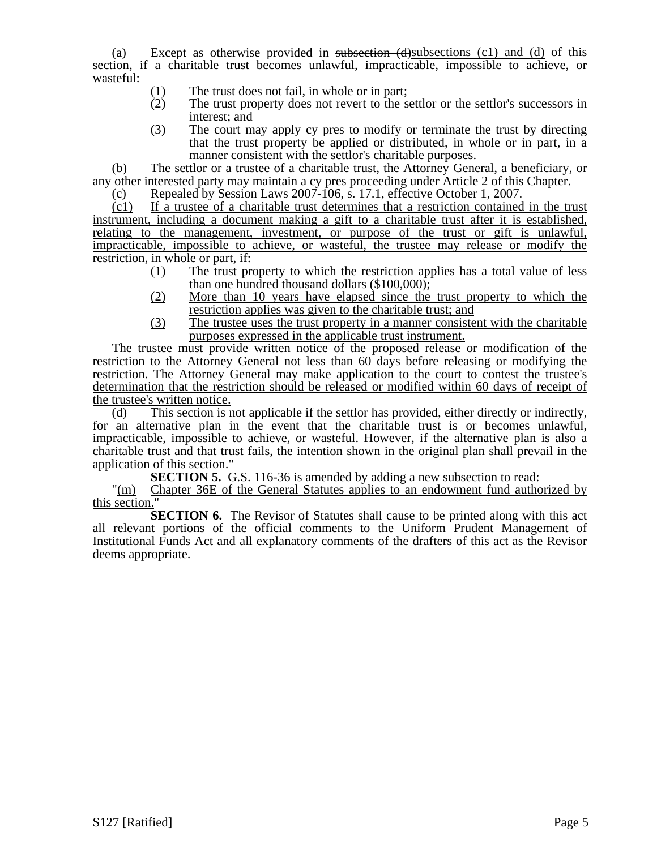(a) Except as otherwise provided in subsection (d)subsections (c1) and (d) of this section, if a charitable trust becomes unlawful, impracticable, impossible to achieve, or wasteful:

- (1) The trust does not fail, in whole or in part;
- (2) The trust property does not revert to the settlor or the settlor's successors in interest; and
- (3) The court may apply cy pres to modify or terminate the trust by directing that the trust property be applied or distributed, in whole or in part, in a manner consistent with the settlor's charitable purposes.

(b) The settlor or a trustee of a charitable trust, the Attorney General, a beneficiary, or any other interested party may maintain a cy pres proceeding under Article 2 of this Chapter.

(c) Repealed by Session Laws 2007-106, s. 17.1, effective October 1, 2007.

(c1) If a trustee of a charitable trust determines that a restriction contained in the trust instrument, including a document making a gift to a charitable trust after it is established, relating to the management, investment, or purpose of the trust or gift is unlawful, impracticable, impossible to achieve, or wasteful, the trustee may release or modify the restriction, in whole or part, if:

- (1) The trust property to which the restriction applies has a total value of less than one hundred thousand dollars (\$100,000);
- (2) More than 10 years have elapsed since the trust property to which the restriction applies was given to the charitable trust; and
- (3) The trustee uses the trust property in a manner consistent with the charitable purposes expressed in the applicable trust instrument.

The trustee must provide written notice of the proposed release or modification of the restriction to the Attorney General not less than 60 days before releasing or modifying the restriction. The Attorney General may make application to the court to contest the trustee's determination that the restriction should be released or modified within 60 days of receipt of the trustee's written notice.

(d) This section is not applicable if the settlor has provided, either directly or indirectly, for an alternative plan in the event that the charitable trust is or becomes unlawful, impracticable, impossible to achieve, or wasteful. However, if the alternative plan is also a charitable trust and that trust fails, the intention shown in the original plan shall prevail in the application of this section."

**SECTION 5.** G.S. 116-36 is amended by adding a new subsection to read:

"(m) Chapter 36E of the General Statutes applies to an endowment fund authorized by this section."

**SECTION 6.** The Revisor of Statutes shall cause to be printed along with this act all relevant portions of the official comments to the Uniform Prudent Management of Institutional Funds Act and all explanatory comments of the drafters of this act as the Revisor deems appropriate.